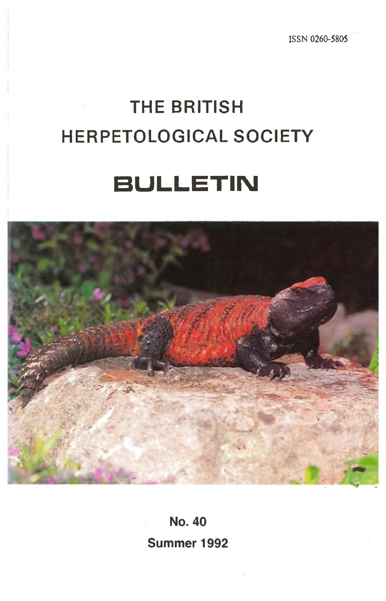ISSN 0260-5805

# **THE BRITISH HERPETOLOGICAL SOCIETY**

# **BULLETIN**



**No. 40 Summer 1992**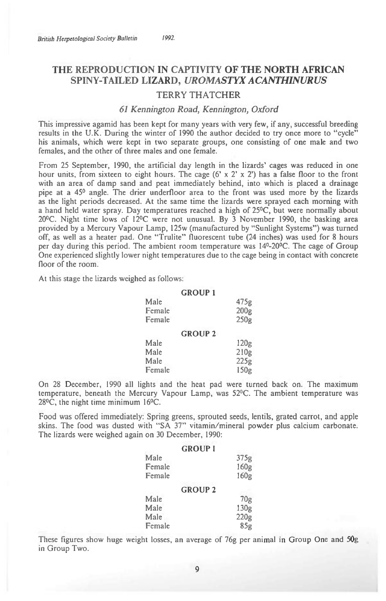# **THE REPRODUCTION IN CAPTIVITY OF THE NORTH AFRICAN SPINY-TAILED LIZARD,** *UROMASTYX ACANTHINURUS*

## TERRY THATCHER

#### *61 Kennington Road, Kennington, Oxford*

This impressive agamid has been kept for many years with very few, if any, successful breeding results in the U.K. During the winter of 1990 the author decided to try once more to "cycle" his animals, which were kept in two separate groups, one consisting of one male and two females, and the other of three males and one female.

From 25 September, 1990, the artificial day length in the lizards' cages was reduced in one hour units, from sixteen to eight hours. The cage (6' x 2' x 2') has a false floor to the front with an area of damp sand and peat immediately behind, into which is placed a drainage pipe at a 45° angle. The drier underfloor area to the front was used more by the lizards as the light periods decreased. At the same time the lizards were sprayed each morning with a hand held water spray. Day temperatures reached a high of 25°C, but were normally about 20°C. Night time lows of 12°C were not unusual. By 3 November 1990, the basking area provided by a Mercury Vapour Lamp, 125w (manufactured by "Sunlight Systems") was turned off, as well as a heater pad. One "Trulite" fluorescent tube (24 inches) was used for 8 hours per day during this period. The ambient room temperature was 14°-20°C. The cage of Group One experienced slightly lower night temperatures due to the cage being in contact with concrete floor of the room.

At this stage the lizards weighed as follows:

| Male<br>Female<br>Female | <b>GROUP 1</b> | 475g<br>200 <sub>g</sub><br>250g |
|--------------------------|----------------|----------------------------------|
|                          | <b>GROUP 2</b> |                                  |
| Male                     |                | 120g                             |
| Male                     |                | 210g                             |
| Male                     |                | 225g                             |
| Female                   |                | 150g                             |

On 28 December, 1990 all lights and the heat pad were turned back on. The maximum temperature, beneath the Mercury Vapour Lamp, was 52°C. The ambient temperature was 28°C, the night time minimum 16°C.

Food was offered immediately: Spring greens, sprouted seeds, lentils, grated carrot, and apple skins. The food was dusted with "SA 37" vitamin/mineral powder plus calcium carbonate. The lizards were weighed again on 30 December, 1990:

| <b>GROUP I</b> |      |
|----------------|------|
| Male           | 375g |
| Female         | 160g |
| Female         | 160g |
| <b>GROUP 2</b> |      |
| Male           | 70g  |
| Male           | 130g |
| Male           | 220g |
| Female         | 85g  |

These figures show huge weight losses, an average of 76g per animal in Group One and 50g in Group Two.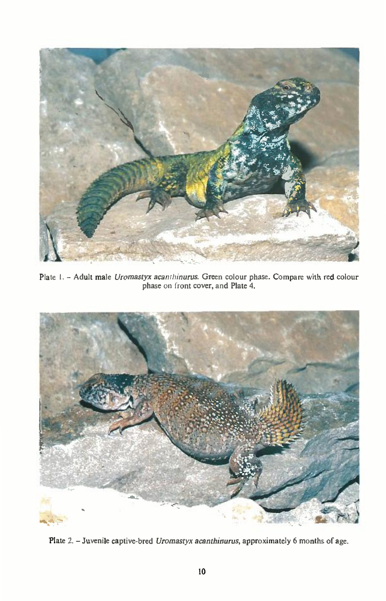

Plate 1. - Adult male *Uromastyx acanthinurus.* Green colour phase. Compare with red colour phase on front cover, and Plate 4.



Plate 2. - Juvenile captive-bred *Uromastyx acanthinurus,* approximately 6 months of age.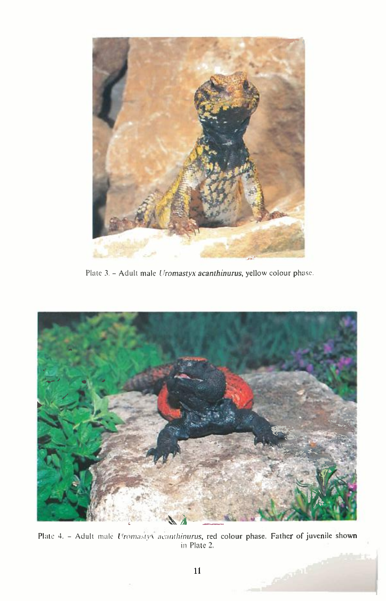

Plate 3. - Adult male *Uromastyx acanthinurus,* yellow colour phase.



Plate 4. - Adult male *Uromasty* acanthinurus, red colour phase. Father of juvenile shown in Plate 2.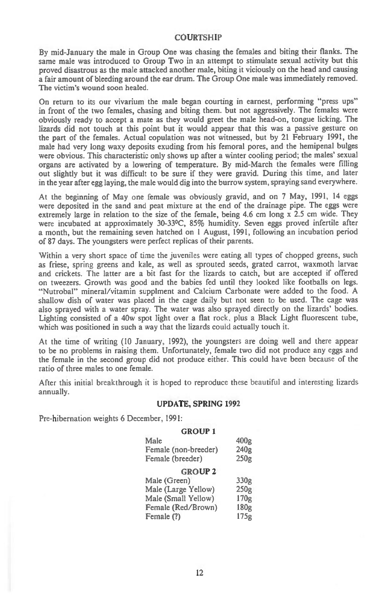#### **COURTSHIP**

By mid-January the male in Group One was chasing the females and biting their flanks. The same male was introduced to Group Two in an attempt to stimulate sexual activity but this proved disastrous as the male attacked another male, biting it viciously on the head and causing a fair amount of bleeding around the ear drum. The Group One male was immediately removed. The victim's wound soon healed.

On return to its our vivarium the male began courting in earnest, performing "press ups" in front of the two females, chasing and biting them. but not aggressively. The females were obviously ready to accept a mate as they would greet the male head-on, tongue licking. The lizards did not touch at this point but it would appear that this was a passive gesture on the part of the females. Actual copulation was not witnessed, but by 21 February 1991, the male had very long waxy deposits exuding from his femoral pores, and the hemipenal bulges were obvious. This characteristic only shows up after a winter cooling period; the males' sexual organs are activated by a lowering of temperature. By mid-March the females were filling out slightly but it was difficult to be sure if they were gravid. During this time, and later in the year after egg laying, the male would dig into the burrow system, spraying sand everywhere.

At the beginning of May one female was obviously gravid, and on 7 May, 1991, 14 eggs were deposited in the sand and peat mixture at the end of the drainage pipe. The eggs were extremely large in relation to the size of the female, being 4.6 cm long x 2.5 cm wide. They were incubated at approximately 30-33°C, 85% humidity. Seven eggs proved infertile after a month, but the remaining seven hatched on 1 August, 1991, following an incubation period of 87 days. The youngsters were perfect replicas of their parents.

Within a very short space of time the juveniles were eating all types of chopped greens, such as friese, spring greens and kale, as well as sprouted seeds, grated carrot, waxmoth larvae and crickets. The latter are a bit fast for the lizards to catch, but are accepted if offered on tweezers. Growth was good and the babies fed until they looked like footballs on legs. "Nutrobal" mineral/vitamin supplment and Calcium Carbonate were added to the food. A shallow dish of water was placed in the cage daily but not seen to be used. The cage was also sprayed with a water spray. The water was also sprayed directly on the lizards' bodies. Lighting consisted of a 40w spot light over a flat rock, plus a Black Light fluorescent tube, which was positioned in such a way that the lizards could actually touch it.

At the time of writing (10 January, 1992), the youngsters are doing well and there appear to be no problems in raising them. Unfortunately, female two did not produce any eggs and the female in the second group did not produce either. This could have been because of the ratio of three males to one female.

After this initial breakthrough it is hoped to reproduce these beautiful and interesting lizards annually.

#### UPDATE, SPRING 1992

Pre-hibernation weights 6 December, 1991:

### GROUP 1 Male 400g Female (non-breeder) 240g Female (breeder) 250g GROUP 2 Male (Green) 330g Male (Large Yellow) 250g Male (Small Yellow) 170g<br>Female (Red/Brown) 180g Female (Red/Brown)

Female (?) 175g